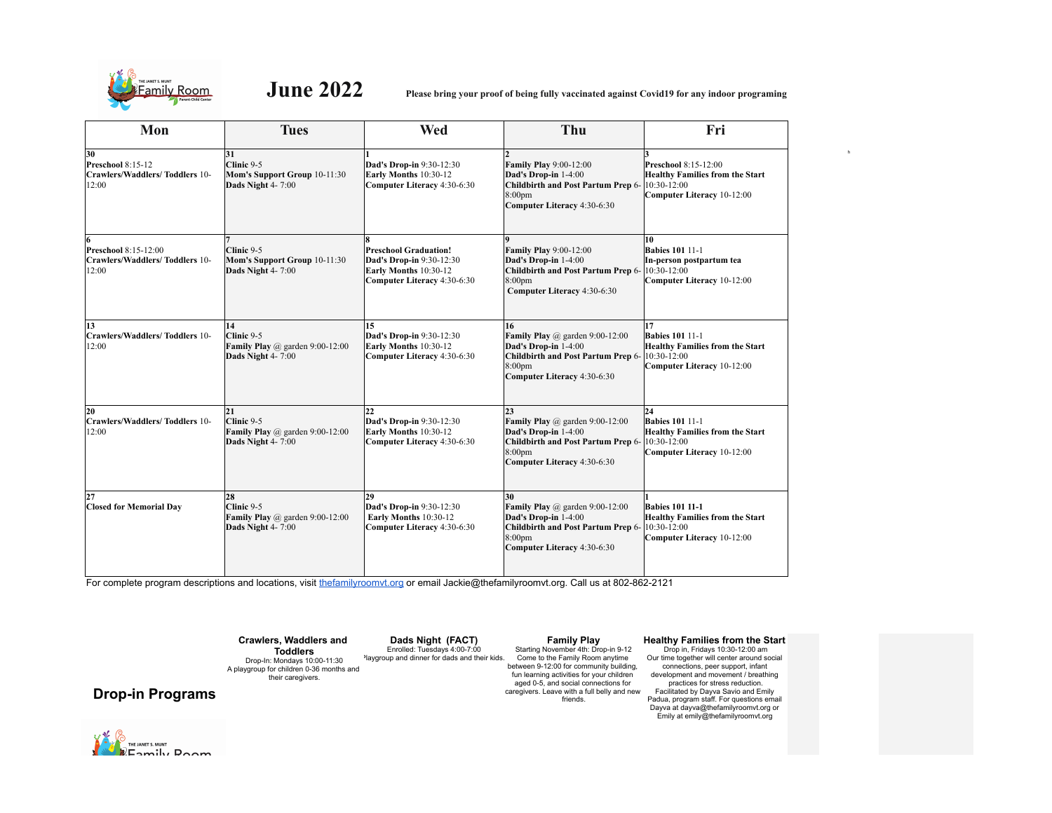

**June 2022 Please bring your proof of being fully vaccinated against Covid19 for any indoor programing**

| Mon                                                                | <b>Tues</b>                                                                  | Wed                                                                                                              | Thu                                                                                                                                                               | Fri                                                                                                                 |
|--------------------------------------------------------------------|------------------------------------------------------------------------------|------------------------------------------------------------------------------------------------------------------|-------------------------------------------------------------------------------------------------------------------------------------------------------------------|---------------------------------------------------------------------------------------------------------------------|
| 30<br>Preschool 8:15-12<br>Crawlers/Waddlers/Toddlers 10-<br>12:00 | 31<br>Clinic 9-5<br>Mom's Support Group 10-11:30<br>Dads Night 4-7:00        | Dad's Drop-in 9:30-12:30<br>Early Months 10:30-12<br>Computer Literacy 4:30-6:30                                 | <b>Family Play 9:00-12:00</b><br>Dad's Drop-in 1-4:00<br><b>Childbirth and Post Partum Prep 6-</b><br>8:00 <sub>pm</sub><br>Computer Literacy 4:30-6:30           | Preschool 8:15-12:00<br><b>Healthy Families from the Start</b><br>10:30-12:00<br>Computer Literacy 10-12:00         |
| Preschool 8:15-12:00<br>Crawlers/Waddlers/Toddlers 10-<br>12:00    | Clinic 9-5<br>Mom's Support Group 10-11:30<br>Dads Night 4-7:00              | <b>Preschool Graduation!</b><br>Dad's Drop-in 9:30-12:30<br>Early Months 10:30-12<br>Computer Literacy 4:30-6:30 | <b>Family Play 9:00-12:00</b><br>Dad's Drop-in 1-4:00<br>Childbirth and Post Partum Prep 6-<br>8:00 <sub>pm</sub><br>Computer Literacy 4:30-6:30                  | 10<br><b>Babies 101 11-1</b><br>In-person postpartum tea<br>10:30-12:00<br>Computer Literacy 10-12:00               |
| 13<br>Crawlers/Waddlers/Toddlers 10-<br>12:00                      | 14<br>Clinic 9-5<br>Family Play $(a)$ garden 9:00-12:00<br>Dads Night 4-7:00 | 15<br>Dad's Drop-in 9:30-12:30<br>Early Months 10:30-12<br>Computer Literacy 4:30-6:30                           | 16<br><b>Family Play</b> @ garden $9:00-12:00$<br>Dad's Drop-in 1-4:00<br>Childbirth and Post Partum Prep 6-<br>8:00 <sub>pm</sub><br>Computer Literacy 4:30-6:30 | 17<br><b>Babies 101 11-1</b><br><b>Healthy Families from the Start</b><br>10:30-12:00<br>Computer Literacy 10-12:00 |
| 20<br>Crawlers/Waddlers/Toddlers 10-<br>12:00                      | 21<br>Clinic 9-5<br>Family Play $@$ garden 9:00-12:00<br>Dads Night 4-7:00   | 22<br>Dad's Drop-in 9:30-12:30<br>Early Months 10:30-12<br>Computer Literacy 4:30-6:30                           | 23<br>Family Play $@$ garden 9:00-12:00<br>Dad's Drop-in 1-4:00<br>Childbirth and Post Partum Prep 6-<br>8:00 <sub>pm</sub><br>Computer Literacy 4:30-6:30        | 24<br><b>Babies 101 11-1</b><br><b>Healthy Families from the Start</b><br>10:30-12:00<br>Computer Literacy 10-12:00 |
| 27<br><b>Closed for Memorial Day</b>                               | 28<br>Clinic 9-5<br>Family Play $@$ garden 9:00-12:00<br>Dads Night 4-7:00   | 29<br>Dad's Drop-in 9:30-12:30<br>Early Months 10:30-12<br>Computer Literacy 4:30-6:30                           | 30<br>Family Play $@$ garden 9:00-12:00<br>Dad's Drop-in 1-4:00<br>Childbirth and Post Partum Prep 6-<br>8:00 <sub>pm</sub><br>Computer Literacy 4:30-6:30        | <b>Babies 101 11-1</b><br><b>Healthy Families from the Start</b><br>10:30-12:00<br>Computer Literacy 10-12:00       |

For complete program descriptions and locations, visit thefamilyroomvt.org or email Jackie@thefamilyroomvt.org. Call us at 802-862-2121

**Crawlers, Waddlers and Toddlers**

Drop-In: Mondays 10:00-11:30 A playgroup for children 0-36 months and their caregivers.

**Dads Night (FACT)**

Enrolled: Tuesdays 4:00-7:00 Playgroup and dinner for dads and their kids. **Family Play**

Starting November 4th: Drop-in 9-12 Come to the Family Room anytime between 9-12:00 for community building, fun learning activities for your children aged 0-5, and social connections for caregivers. Leave with a full belly and new friends.

# **Healthy Families from the Start**

h

Drop in, Fridays 10:30-12:00 am Our time together will center around social connections, peer support, infant development and movement / breathing practices for stress reduction. Facilitated by Dayva Savio and Emily Padua, program staff. For questions email Dayva at dayva@thefamilyroomvt.org or Emily at emily@thefamilyroomvt.org

**Drop-in Programs**